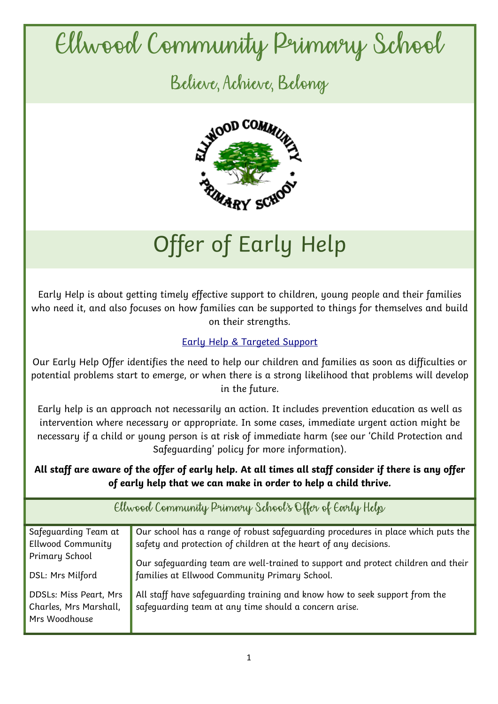## Ellwood Community Primary School

Believe, Achieve, Belong



## Offer of Early Help

Early Help is about getting timely effective support to children, young people and their families who need it, and also focuses on how families can be supported to things for themselves and build on their strengths.

## [Early Help & Targeted Support](https://www.gloucestershire.gov.uk/health-and-social-care/children-young-people-and-families/early-help-and-targeted-support/#:~:text=Early%20Help%20is%20about%20getting,and%20build%20on%20their%20strengths.)

Our Early Help Offer identifies the need to help our children and families as soon as difficulties or potential problems start to emerge, or when there is a strong likelihood that problems will develop in the future.

Early help is an approach not necessarily an action. It includes prevention education as well as intervention where necessary or appropriate. In some cases, immediate urgent action might be necessary if a child or young person is at risk of immediate harm (see our 'Child Protection and Safeguarding' policy for more information).

## *All staff are aware of the offer of early help. At all times all staff consider if there is any offer of early help that we can make in order to help a child thrive.*

| Ellwood Community Primary School's Offer of Early Help                   |                                                                                                                                     |  |
|--------------------------------------------------------------------------|-------------------------------------------------------------------------------------------------------------------------------------|--|
| Safeguarding Team at                                                     | Our school has a range of robust safeguarding procedures in place which puts the                                                    |  |
| <b>Ellwood Community</b>                                                 | safety and protection of children at the heart of any decisions.                                                                    |  |
| Primary School                                                           | Our safeguarding team are well-trained to support and protect children and their                                                    |  |
| DSL: Mrs Milford                                                         | families at Ellwood Community Primary School.                                                                                       |  |
| <b>DDSLs: Miss Peart, Mrs</b><br>Charles, Mrs Marshall,<br>Mrs Woodhouse | All staff have safeguarding training and know how to seek support from the<br>safeguarding team at any time should a concern arise. |  |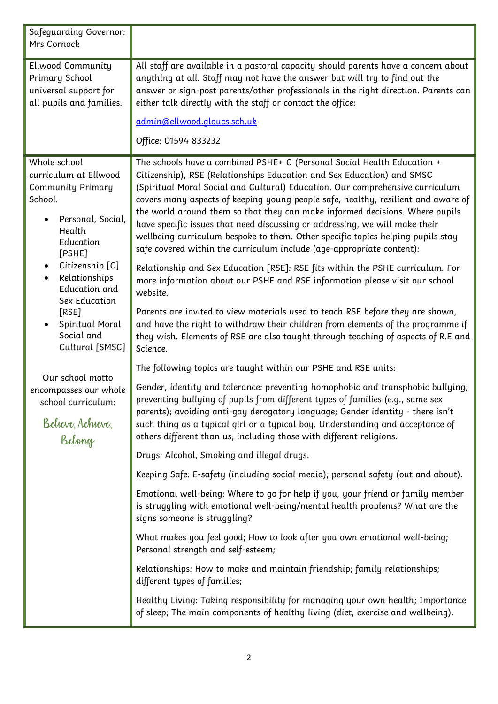| <b>Safequarding Governor:</b><br>Mrs Cornock                                                                                                                                                                                                                                 |                                                                                                                                                                                                                                                                                                                                                                                                                                                                                                                                                                                                                                                    |
|------------------------------------------------------------------------------------------------------------------------------------------------------------------------------------------------------------------------------------------------------------------------------|----------------------------------------------------------------------------------------------------------------------------------------------------------------------------------------------------------------------------------------------------------------------------------------------------------------------------------------------------------------------------------------------------------------------------------------------------------------------------------------------------------------------------------------------------------------------------------------------------------------------------------------------------|
| <b>Ellwood Community</b><br>Primary School<br>universal support for<br>all pupils and families.                                                                                                                                                                              | All staff are available in a pastoral capacity should parents have a concern about<br>anything at all. Staff may not have the answer but will try to find out the<br>answer or sign-post parents/other professionals in the right direction. Parents can<br>either talk directly with the staff or contact the office:                                                                                                                                                                                                                                                                                                                             |
|                                                                                                                                                                                                                                                                              | admin@ellwood.gloucs.sch.uk                                                                                                                                                                                                                                                                                                                                                                                                                                                                                                                                                                                                                        |
|                                                                                                                                                                                                                                                                              | Office: 01594 833232                                                                                                                                                                                                                                                                                                                                                                                                                                                                                                                                                                                                                               |
| Whole school<br>curriculum at Ellwood<br><b>Community Primary</b><br>School.<br>Personal, Social,<br>Health<br>Education<br>[PSHE]<br>Citizenship [C]<br>Relationships<br><b>Education and</b><br>Sex Education<br>[RSE]<br>Spiritual Moral<br>Social and<br>Cultural [SMSC] | The schools have a combined PSHE+ C (Personal Social Health Education +<br>Citizenship), RSE (Relationships Education and Sex Education) and SMSC<br>(Spiritual Moral Social and Cultural) Education. Our comprehensive curriculum<br>covers many aspects of keeping young people safe, healthy, resilient and aware of<br>the world around them so that they can make informed decisions. Where pupils<br>have specific issues that need discussing or addressing, we will make their<br>wellbeing curriculum bespoke to them. Other specific topics helping pupils stay<br>safe covered within the curriculum include (age-appropriate content): |
|                                                                                                                                                                                                                                                                              | Relationship and Sex Education [RSE]: RSE fits within the PSHE curriculum. For<br>more information about our PSHE and RSE information please visit our school<br>website.                                                                                                                                                                                                                                                                                                                                                                                                                                                                          |
|                                                                                                                                                                                                                                                                              | Parents are invited to view materials used to teach RSE before they are shown,<br>and have the right to withdraw their children from elements of the programme if<br>they wish. Elements of RSE are also taught through teaching of aspects of R.E and<br>Science.                                                                                                                                                                                                                                                                                                                                                                                 |
|                                                                                                                                                                                                                                                                              | The following topics are taught within our PSHE and RSE units:                                                                                                                                                                                                                                                                                                                                                                                                                                                                                                                                                                                     |
| Our school motto<br>encompasses our whole<br>school curriculum:<br>Believe, Achieve,<br>Belong                                                                                                                                                                               | Gender, identity and tolerance: preventing homophobic and transphobic bullying;<br>preventing bullying of pupils from different types of families (e.g., same sex<br>parents); avoiding anti-gay derogatory language; Gender identity - there isn't<br>such thing as a typical girl or a typical boy. Understanding and acceptance of<br>others different than us, including those with different religions.                                                                                                                                                                                                                                       |
|                                                                                                                                                                                                                                                                              | Drugs: Alcohol, Smoking and illegal drugs.                                                                                                                                                                                                                                                                                                                                                                                                                                                                                                                                                                                                         |
|                                                                                                                                                                                                                                                                              | Keeping Safe: E-safety (including social media); personal safety (out and about).                                                                                                                                                                                                                                                                                                                                                                                                                                                                                                                                                                  |
|                                                                                                                                                                                                                                                                              | Emotional well-being: Where to go for help if you, your friend or family member<br>is struggling with emotional well-being/mental health problems? What are the<br>signs someone is struggling?                                                                                                                                                                                                                                                                                                                                                                                                                                                    |
|                                                                                                                                                                                                                                                                              | What makes you feel good; How to look after you own emotional well-being;<br>Personal strength and self-esteem;                                                                                                                                                                                                                                                                                                                                                                                                                                                                                                                                    |
|                                                                                                                                                                                                                                                                              | Relationships: How to make and maintain friendship; family relationships;<br>different types of families;                                                                                                                                                                                                                                                                                                                                                                                                                                                                                                                                          |
|                                                                                                                                                                                                                                                                              | Healthy Living: Taking responsibility for managing your own health; Importance<br>of sleep; The main components of healthy living (diet, exercise and wellbeing).                                                                                                                                                                                                                                                                                                                                                                                                                                                                                  |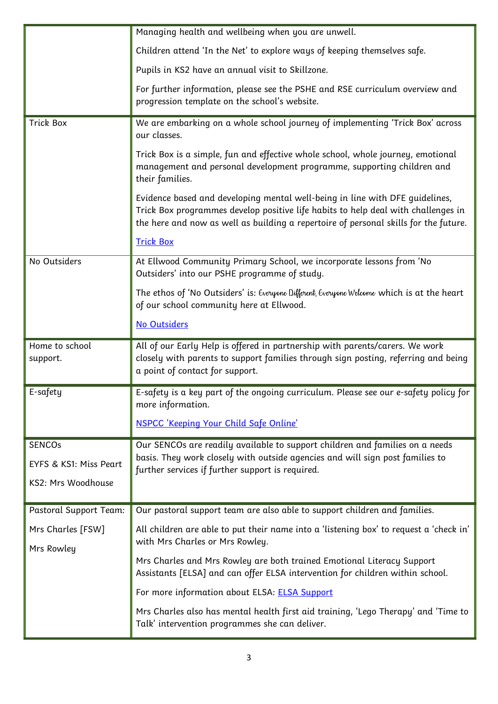|                                                               | Managing health and wellbeing when you are unwell.                                                                                                                                                                                                        |
|---------------------------------------------------------------|-----------------------------------------------------------------------------------------------------------------------------------------------------------------------------------------------------------------------------------------------------------|
|                                                               | Children attend 'In the Net' to explore ways of keeping themselves safe.                                                                                                                                                                                  |
|                                                               | Pupils in KS2 have an annual visit to Skillzone.                                                                                                                                                                                                          |
|                                                               | For further information, please see the PSHE and RSE curriculum overview and<br>progression template on the school's website.                                                                                                                             |
| <b>Trick Box</b>                                              | We are embarking on a whole school journey of implementing 'Trick Box' across<br>our classes.                                                                                                                                                             |
|                                                               | Trick Box is a simple, fun and effective whole school, whole journey, emotional<br>management and personal development programme, supporting children and<br>their families.                                                                              |
|                                                               | Evidence based and developing mental well-being in line with DFE guidelines,<br>Trick Box programmes develop positive life habits to help deal with challenges in<br>the here and now as well as building a repertoire of personal skills for the future. |
|                                                               | <b>Trick Box</b>                                                                                                                                                                                                                                          |
| No Outsiders                                                  | At Ellwood Community Primary School, we incorporate lessons from 'No<br>Outsiders' into our PSHE programme of study.                                                                                                                                      |
|                                                               | The ethos of 'No Outsiders' is: Everyone Different, Everyone Welcome which is at the heart<br>of our school community here at Ellwood.                                                                                                                    |
|                                                               | No Outsiders                                                                                                                                                                                                                                              |
| Home to school<br>support.                                    | All of our Early Help is offered in partnership with parents/carers. We work<br>closely with parents to support families through sign posting, referring and being<br>a point of contact for support.                                                     |
| E-safety                                                      | E-safety is a key part of the ongoing curriculum. Please see our e-safety policy for<br>more information.                                                                                                                                                 |
|                                                               | NSPCC 'Keeping Your Child Safe Online'                                                                                                                                                                                                                    |
| <b>SENCOs</b><br>EYFS & KS1: Miss Peart<br>KS2: Mrs Woodhouse | Our SENCOs are readily available to support children and families on a needs<br>basis. They work closely with outside agencies and will sign post families to<br>further services if further support is required.                                         |
| <b>Pastoral Support Team:</b>                                 | Our pastoral support team are also able to support children and families.                                                                                                                                                                                 |
| Mrs Charles [FSW]<br>Mrs Rowley                               | All children are able to put their name into a 'listening box' to request a 'check in'<br>with Mrs Charles or Mrs Rowley.                                                                                                                                 |
|                                                               | Mrs Charles and Mrs Rowley are both trained Emotional Literacy Support<br>Assistants [ELSA] and can offer ELSA intervention for children within school.                                                                                                   |
|                                                               | For more information about ELSA: <b>ELSA Support</b>                                                                                                                                                                                                      |
|                                                               | Mrs Charles also has mental health first aid training, 'Lego Therapy' and 'Time to                                                                                                                                                                        |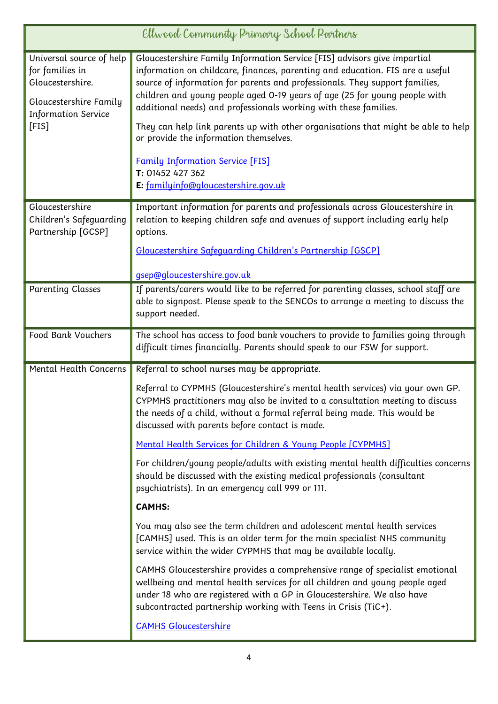| Ellwood Community Primary School Partners                                                                                        |                                                                                                                                                                                                                                                                                                                                                                                                                                                                                                                                                                                                                                  |
|----------------------------------------------------------------------------------------------------------------------------------|----------------------------------------------------------------------------------------------------------------------------------------------------------------------------------------------------------------------------------------------------------------------------------------------------------------------------------------------------------------------------------------------------------------------------------------------------------------------------------------------------------------------------------------------------------------------------------------------------------------------------------|
| Universal source of help<br>for families in<br>Gloucestershire.<br>Gloucestershire Family<br><b>Information Service</b><br>[FIS] | Gloucestershire Family Information Service [FIS] advisors give impartial<br>information on childcare, finances, parenting and education. FIS are a useful<br>source of information for parents and professionals. They support families,<br>children and young people aged 0-19 years of age (25 for young people with<br>additional needs) and professionals working with these families.<br>They can help link parents up with other organisations that might be able to help<br>or provide the information themselves.<br><b>Family Information Service [FIS]</b><br>T: 01452 427 362<br>E: familyinfo@gloucestershire.gov.uk |
| Gloucestershire<br>Children's Safeguarding<br>Partnership [GCSP]                                                                 | Important information for parents and professionals across Gloucestershire in<br>relation to keeping children safe and avenues of support including early help<br>options.<br>Gloucestershire Safequarding Children's Partnership [GSCP]<br>gsep@gloucestershire.gov.uk                                                                                                                                                                                                                                                                                                                                                          |
| <b>Parenting Classes</b>                                                                                                         | If parents/carers would like to be referred for parenting classes, school staff are<br>able to signpost. Please speak to the SENCOs to arrange a meeting to discuss the<br>support needed.                                                                                                                                                                                                                                                                                                                                                                                                                                       |
| Food Bank Vouchers                                                                                                               | The school has access to food bank vouchers to provide to families going through<br>difficult times financially. Parents should speak to our FSW for support.                                                                                                                                                                                                                                                                                                                                                                                                                                                                    |
| <b>Mental Health Concerns</b>                                                                                                    | Referral to school nurses may be appropriate.<br>Referral to CYPMHS (Gloucestershire's mental health services) via your own GP.<br>CYPMHS practitioners may also be invited to a consultation meeting to discuss<br>the needs of a child, without a formal referral being made. This would be<br>discussed with parents before contact is made.                                                                                                                                                                                                                                                                                  |
|                                                                                                                                  | Mental Health Services for Children & Young People [CYPMHS]<br>For children/young people/adults with existing mental health difficulties concerns<br>should be discussed with the existing medical professionals (consultant<br>psychiatrists). In an emergency call 999 or 111.                                                                                                                                                                                                                                                                                                                                                 |
|                                                                                                                                  | <b>CAMHS:</b>                                                                                                                                                                                                                                                                                                                                                                                                                                                                                                                                                                                                                    |
|                                                                                                                                  | You may also see the term children and adolescent mental health services<br>[CAMHS] used. This is an older term for the main specialist NHS community<br>service within the wider CYPMHS that may be available locally.                                                                                                                                                                                                                                                                                                                                                                                                          |
|                                                                                                                                  | CAMHS Gloucestershire provides a comprehensive range of specialist emotional<br>wellbeing and mental health services for all children and young people aged<br>under 18 who are registered with a GP in Gloucestershire. We also have<br>subcontracted partnership working with Teens in Crisis (TiC+).                                                                                                                                                                                                                                                                                                                          |
|                                                                                                                                  | <b>CAMHS Gloucestershire</b>                                                                                                                                                                                                                                                                                                                                                                                                                                                                                                                                                                                                     |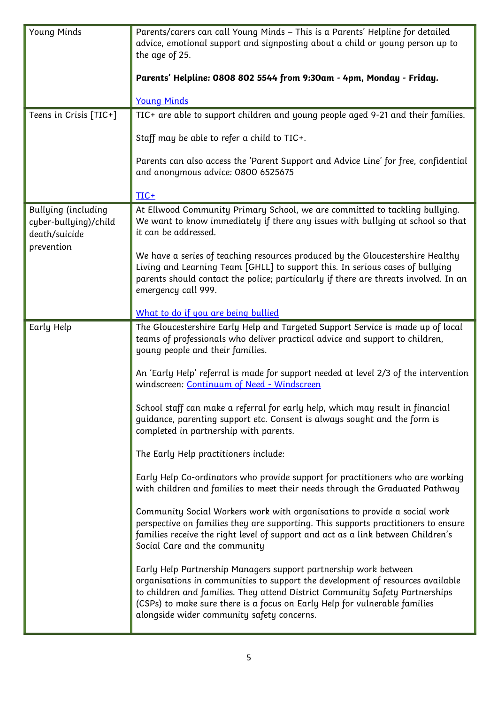| <b>Young Minds</b>                                                                 | Parents/carers can call Young Minds - This is a Parents' Helpline for detailed<br>advice, emotional support and signposting about a child or young person up to<br>the age of 25.<br>Parents' Helpline: 0808 802 5544 from 9:30am - 4pm, Monday - Friday.<br><b>Young Minds</b>                                                                                                                                                                                                                                                                                                                                                                                                                                                                                                                                                                                                                                                                                                                                                                                                                                                                                                                                                                                                                                                                                                                                         |
|------------------------------------------------------------------------------------|-------------------------------------------------------------------------------------------------------------------------------------------------------------------------------------------------------------------------------------------------------------------------------------------------------------------------------------------------------------------------------------------------------------------------------------------------------------------------------------------------------------------------------------------------------------------------------------------------------------------------------------------------------------------------------------------------------------------------------------------------------------------------------------------------------------------------------------------------------------------------------------------------------------------------------------------------------------------------------------------------------------------------------------------------------------------------------------------------------------------------------------------------------------------------------------------------------------------------------------------------------------------------------------------------------------------------------------------------------------------------------------------------------------------------|
| Teens in Crisis [TIC+]                                                             | TIC+ are able to support children and young people aged 9-21 and their families.<br>Staff may be able to refer a child to TIC+.<br>Parents can also access the 'Parent Support and Advice Line' for free, confidential<br>and anonymous advice: 0800 6525675<br>TIC+                                                                                                                                                                                                                                                                                                                                                                                                                                                                                                                                                                                                                                                                                                                                                                                                                                                                                                                                                                                                                                                                                                                                                    |
| <b>Bullying (including</b><br>cyber-bullying)/child<br>death/suicide<br>prevention | At Ellwood Community Primary School, we are committed to tackling bullying.<br>We want to know immediately if there any issues with bullying at school so that<br>it can be addressed.<br>We have a series of teaching resources produced by the Gloucestershire Healthy<br>Living and Learning Team [GHLL] to support this. In serious cases of bullying<br>parents should contact the police; particularly if there are threats involved. In an<br>emergency call 999.<br>What to do if you are being bullied                                                                                                                                                                                                                                                                                                                                                                                                                                                                                                                                                                                                                                                                                                                                                                                                                                                                                                         |
| Early Help                                                                         | The Gloucestershire Early Help and Targeted Support Service is made up of local<br>teams of professionals who deliver practical advice and support to children,<br>young people and their families.<br>An 'Early Help' referral is made for support needed at level 2/3 of the intervention<br>windscreen: Continuum of Need - Windscreen<br>School staff can make a referral for early help, which may result in financial<br>guidance, parenting support etc. Consent is always sought and the form is<br>completed in partnership with parents.<br>The Early Help practitioners include:<br>Early Help Co-ordinators who provide support for practitioners who are working<br>with children and families to meet their needs through the Graduated Pathway<br>Community Social Workers work with organisations to provide a social work<br>perspective on families they are supporting. This supports practitioners to ensure<br>families receive the right level of support and act as a link between Children's<br>Social Care and the community<br>Early Help Partnership Managers support partnership work between<br>organisations in communities to support the development of resources available<br>to children and families. They attend District Community Safety Partnerships<br>(CSPs) to make sure there is a focus on Early Help for vulnerable families<br>alongside wider community safety concerns. |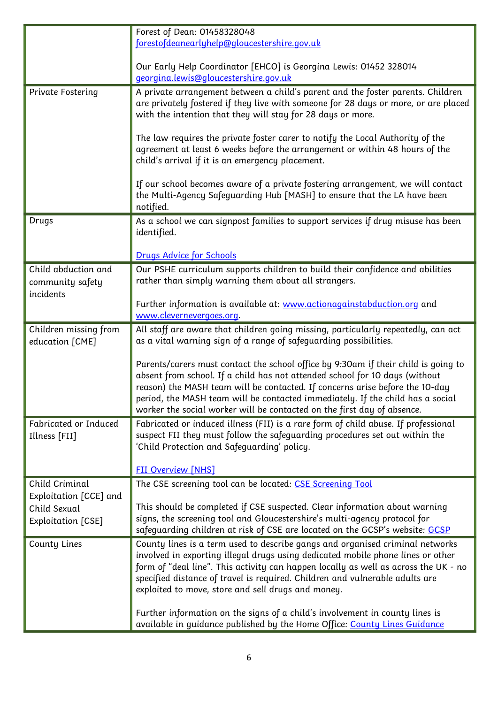|                                          | Forest of Dean: 01458328048                                                                                                                                                                                                                                                                                                                                                                                    |
|------------------------------------------|----------------------------------------------------------------------------------------------------------------------------------------------------------------------------------------------------------------------------------------------------------------------------------------------------------------------------------------------------------------------------------------------------------------|
|                                          | forestofdeanearlyhelp@gloucestershire.gov.uk                                                                                                                                                                                                                                                                                                                                                                   |
|                                          | Our Early Help Coordinator [EHCO] is Georgina Lewis: 01452 328014<br>georgina.lewis@gloucestershire.gov.uk                                                                                                                                                                                                                                                                                                     |
| Private Fostering                        | A private arrangement between a child's parent and the foster parents. Children                                                                                                                                                                                                                                                                                                                                |
|                                          | are privately fostered if they live with someone for 28 days or more, or are placed<br>with the intention that they will stay for 28 days or more.                                                                                                                                                                                                                                                             |
|                                          | The law requires the private foster carer to notify the Local Authority of the<br>agreement at least 6 weeks before the arrangement or within 48 hours of the<br>child's arrival if it is an emergency placement.                                                                                                                                                                                              |
|                                          | If our school becomes aware of a private fostering arrangement, we will contact<br>the Multi-Agency Safeguarding Hub [MASH] to ensure that the LA have been<br>notified.                                                                                                                                                                                                                                       |
| Drugs                                    | As a school we can signpost families to support services if drug misuse has been<br>identified.                                                                                                                                                                                                                                                                                                                |
|                                          | <b>Drugs Advice for Schools</b>                                                                                                                                                                                                                                                                                                                                                                                |
| Child abduction and                      | Our PSHE curriculum supports children to build their confidence and abilities                                                                                                                                                                                                                                                                                                                                  |
| community safety                         | rather than simply warning them about all strangers.                                                                                                                                                                                                                                                                                                                                                           |
| incidents                                | Further information is available at: www.actionagainstabduction.org and                                                                                                                                                                                                                                                                                                                                        |
|                                          | www.clevernevergoes.org.                                                                                                                                                                                                                                                                                                                                                                                       |
| Children missing from<br>education [CME] | All staff are aware that children going missing, particularly repeatedly, can act<br>as a vital warning sign of a range of safeguarding possibilities.                                                                                                                                                                                                                                                         |
|                                          | Parents/carers must contact the school office by 9:30am if their child is going to<br>absent from school. If a child has not attended school for 10 days (without<br>reason) the MASH team will be contacted. If concerns arise before the 10-day<br>period, the MASH team will be contacted immediately. If the child has a social<br>worker the social worker will be contacted on the first day of absence. |
| Fabricated or Induced<br>Illness [FII]   | Fabricated or induced illness (FII) is a rare form of child abuse. If professional<br>suspect FII they must follow the safeguarding procedures set out within the<br>'Child Protection and Safeguarding' policy.                                                                                                                                                                                               |
|                                          | <b>FII Overview [NHS]</b>                                                                                                                                                                                                                                                                                                                                                                                      |
| Child Criminal                           | The CSE screening tool can be located: CSE Screening Tool                                                                                                                                                                                                                                                                                                                                                      |
| Exploitation [CCE] and                   |                                                                                                                                                                                                                                                                                                                                                                                                                |
| Child Sexual                             | This should be completed if CSE suspected. Clear information about warning<br>signs, the screening tool and Gloucestershire's multi-agency protocol for                                                                                                                                                                                                                                                        |
| Exploitation [CSE]                       | safeguarding children at risk of CSE are located on the GCSP's website: GCSP                                                                                                                                                                                                                                                                                                                                   |
| County Lines                             | County lines is a term used to describe gangs and organised criminal networks<br>involved in exporting illegal drugs using dedicated mobile phone lines or other<br>form of "deal line". This activity can happen locally as well as across the UK - no<br>specified distance of travel is required. Children and vulnerable adults are<br>exploited to move, store and sell drugs and money.                  |
|                                          | Further information on the signs of a child's involvement in county lines is<br>available in guidance published by the Home Office: County Lines Guidance                                                                                                                                                                                                                                                      |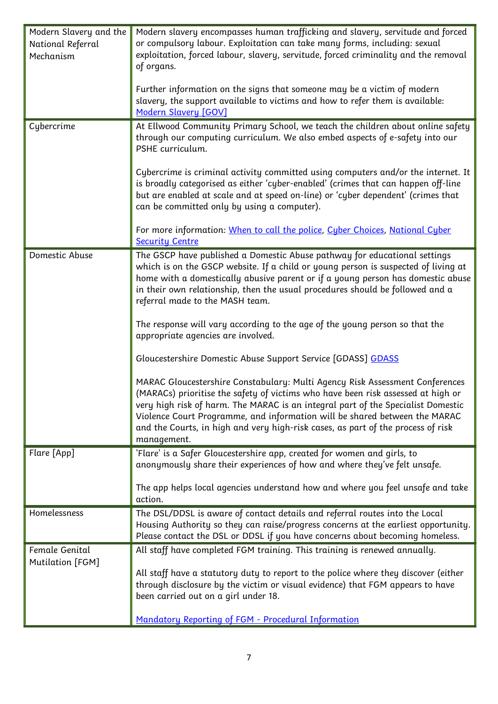| Modern Slavery and the | Modern slavery encompasses human trafficking and slavery, servitude and forced      |
|------------------------|-------------------------------------------------------------------------------------|
| National Referral      | or compulsory labour. Exploitation can take many forms, including: sexual           |
| Mechanism              | exploitation, forced labour, slavery, servitude, forced criminality and the removal |
|                        | of organs.                                                                          |
|                        |                                                                                     |
|                        | Further information on the signs that someone may be a victim of modern             |
|                        | slavery, the support available to victims and how to refer them is available:       |
|                        | Modern Slavery [GOV]                                                                |
| Cybercrime             | At Ellwood Community Primary School, we teach the children about online safety      |
|                        | through our computing curriculum. We also embed aspects of e-safety into our        |
|                        | PSHE curriculum.                                                                    |
|                        |                                                                                     |
|                        | Cybercrime is criminal activity committed using computers and/or the internet. It   |
|                        | is broadly categorised as either 'cyber-enabled' (crimes that can happen off-line   |
|                        | but are enabled at scale and at speed on-line) or 'cyber dependent' (crimes that    |
|                        | can be committed only by using a computer).                                         |
|                        |                                                                                     |
|                        | For more information: When to call the police, Cyber Choices, National Cyber        |
|                        | <b>Security Centre</b>                                                              |
| Domestic Abuse         | The GSCP have published a Domestic Abuse pathway for educational settings           |
|                        | which is on the GSCP website. If a child or young person is suspected of living at  |
|                        | home with a domestically abusive parent or if a young person has domestic abuse     |
|                        | in their own relationship, then the usual procedures should be followed and a       |
|                        | referral made to the MASH team.                                                     |
|                        |                                                                                     |
|                        | The response will vary according to the age of the young person so that the         |
|                        | appropriate agencies are involved.                                                  |
|                        | Gloucestershire Domestic Abuse Support Service [GDASS] GDASS                        |
|                        |                                                                                     |
|                        | MARAC Gloucestershire Constabulary: Multi Agency Risk Assessment Conferences        |
|                        | (MARACs) prioritise the safety of victims who have been risk assessed at high or    |
|                        | very high risk of harm. The MARAC is an integral part of the Specialist Domestic    |
|                        | Violence Court Programme, and information will be shared between the MARAC          |
|                        | and the Courts, in high and very high-risk cases, as part of the process of risk    |
|                        | management.                                                                         |
| Flare [App]            | 'Flare' is a Safer Gloucestershire app, created for women and girls, to             |
|                        | anonymously share their experiences of how and where they've felt unsafe.           |
|                        |                                                                                     |
|                        | The app helps local agencies understand how and where you feel unsafe and take      |
|                        | action.                                                                             |
| Homelessness           | The DSL/DDSL is aware of contact details and referral routes into the Local         |
|                        | Housing Authority so they can raise/progress concerns at the earliest opportunity.  |
|                        | Please contact the DSL or DDSL if you have concerns about becoming homeless.        |
| Female Genital         | All staff have completed FGM training. This training is renewed annually.           |
| Mutilation [FGM]       |                                                                                     |
|                        | All staff have a statutory duty to report to the police where they discover (either |
|                        | through disclosure by the victim or visual evidence) that FGM appears to have       |
|                        | been carried out on a girl under 18.                                                |
|                        |                                                                                     |
|                        | Mandatory Reporting of FGM - Procedural Information                                 |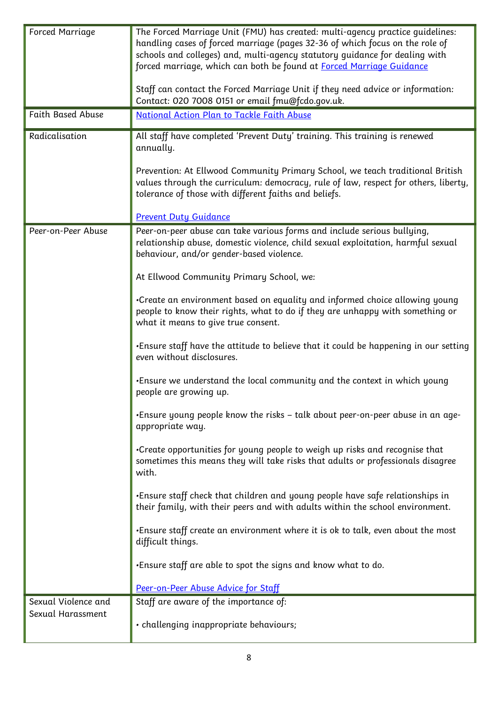| Forced Marriage                          | The Forced Marriage Unit (FMU) has created: multi-agency practice guidelines:<br>handling cases of forced marriage (pages 32-36 of which focus on the role of<br>schools and colleges) and, multi-agency statutory guidance for dealing with<br>forced marriage, which can both be found at <u>Forced Marriage Guidance</u> |
|------------------------------------------|-----------------------------------------------------------------------------------------------------------------------------------------------------------------------------------------------------------------------------------------------------------------------------------------------------------------------------|
|                                          | Staff can contact the Forced Marriage Unit if they need advice or information:<br>Contact: 020 7008 0151 or email fmu@fcdo.gov.uk.                                                                                                                                                                                          |
| <b>Faith Based Abuse</b>                 | National Action Plan to Tackle Faith Abuse                                                                                                                                                                                                                                                                                  |
| Radicalisation                           | All staff have completed 'Prevent Duty' training. This training is renewed<br>annually.                                                                                                                                                                                                                                     |
|                                          | Prevention: At Ellwood Community Primary School, we teach traditional British<br>values through the curriculum: democracy, rule of law, respect for others, liberty,<br>tolerance of those with different faiths and beliefs.                                                                                               |
|                                          | <b>Prevent Duty Guidance</b>                                                                                                                                                                                                                                                                                                |
| Peer-on-Peer Abuse                       | Peer-on-peer abuse can take various forms and include serious bullying,<br>relationship abuse, domestic violence, child sexual exploitation, harmful sexual<br>behaviour, and/or gender-based violence.                                                                                                                     |
|                                          | At Ellwood Community Primary School, we:                                                                                                                                                                                                                                                                                    |
|                                          | •Create an environment based on equality and informed choice allowing young<br>people to know their rights, what to do if they are unhappy with something or<br>what it means to give true consent.                                                                                                                         |
|                                          | •Ensure staff have the attitude to believe that it could be happening in our setting<br>even without disclosures.                                                                                                                                                                                                           |
|                                          | •Ensure we understand the local community and the context in which young<br>people are growing up.                                                                                                                                                                                                                          |
|                                          | •Ensure young people know the risks – talk about peer-on-peer abuse in an age-<br>appropriate way.                                                                                                                                                                                                                          |
|                                          | •Create opportunities for young people to weigh up risks and recognise that<br>sometimes this means they will take risks that adults or professionals disagree<br>with.                                                                                                                                                     |
|                                          | •Ensure staff check that children and young people have safe relationships in<br>their family, with their peers and with adults within the school environment.                                                                                                                                                              |
|                                          | .Ensure staff create an environment where it is ok to talk, even about the most<br>difficult things.                                                                                                                                                                                                                        |
|                                          | . Ensure staff are able to spot the signs and know what to do.                                                                                                                                                                                                                                                              |
|                                          | Peer-on-Peer Abuse Advice for Staff                                                                                                                                                                                                                                                                                         |
| Sexual Violence and<br>Sexual Harassment | Staff are aware of the importance of:                                                                                                                                                                                                                                                                                       |
|                                          | · challenging inappropriate behaviours;                                                                                                                                                                                                                                                                                     |

L